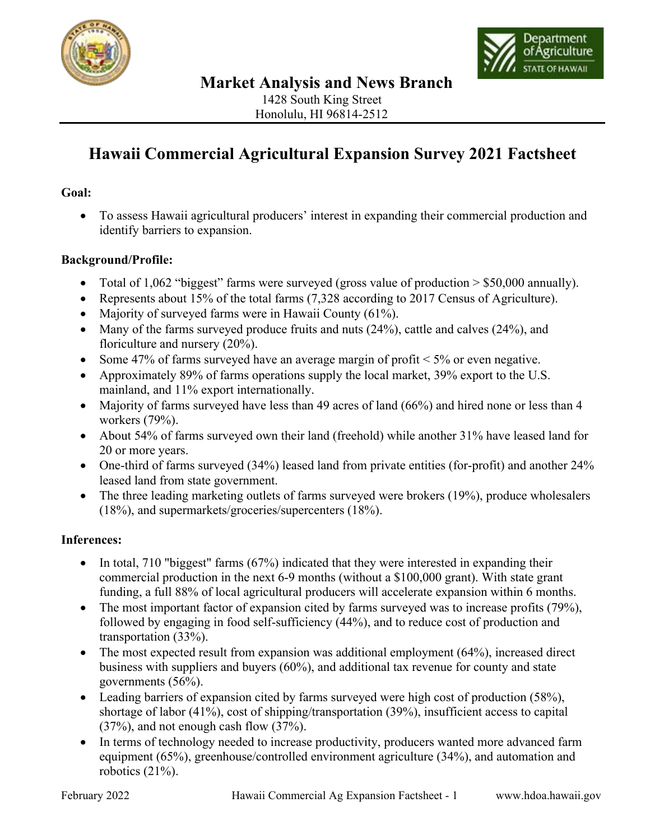



# **Hawaii Commercial Agricultural Expansion Survey 2021 Factsheet**

### **Goal:**

• To assess Hawaii agricultural producers' interest in expanding their commercial production and identify barriers to expansion.

#### **Background/Profile:**

- Total of 1,062 "biggest" farms were surveyed (gross value of production  $> $50,000$  annually).
- Represents about 15% of the total farms (7,328 according to 2017 Census of Agriculture).
- Majority of surveyed farms were in Hawaii County (61%).
- Many of the farms surveyed produce fruits and nuts (24%), cattle and calves (24%), and floriculture and nursery (20%).
- Some 47% of farms surveyed have an average margin of profit < 5% or even negative.
- Approximately 89% of farms operations supply the local market, 39% export to the U.S. mainland, and 11% export internationally.
- Majority of farms surveyed have less than 49 acres of land (66%) and hired none or less than 4 workers (79%).
- About 54% of farms surveyed own their land (freehold) while another 31% have leased land for 20 or more years.
- One-third of farms surveyed (34%) leased land from private entities (for-profit) and another 24% leased land from state government.
- The three leading marketing outlets of farms surveyed were brokers (19%), produce wholesalers (18%), and supermarkets/groceries/supercenters (18%).

# **Inferences:**

- In total, 710 "biggest" farms (67%) indicated that they were interested in expanding their commercial production in the next 6-9 months (without a \$100,000 grant). With state grant funding, a full 88% of local agricultural producers will accelerate expansion within 6 months.
- The most important factor of expansion cited by farms surveyed was to increase profits (79%), followed by engaging in food self-sufficiency (44%), and to reduce cost of production and transportation (33%).
- The most expected result from expansion was additional employment (64%), increased direct business with suppliers and buyers (60%), and additional tax revenue for county and state governments (56%).
- Leading barriers of expansion cited by farms surveyed were high cost of production (58%), shortage of labor (41%), cost of shipping/transportation (39%), insufficient access to capital (37%), and not enough cash flow (37%).
- In terms of technology needed to increase productivity, producers wanted more advanced farm equipment (65%), greenhouse/controlled environment agriculture (34%), and automation and robotics  $(21\%)$ .